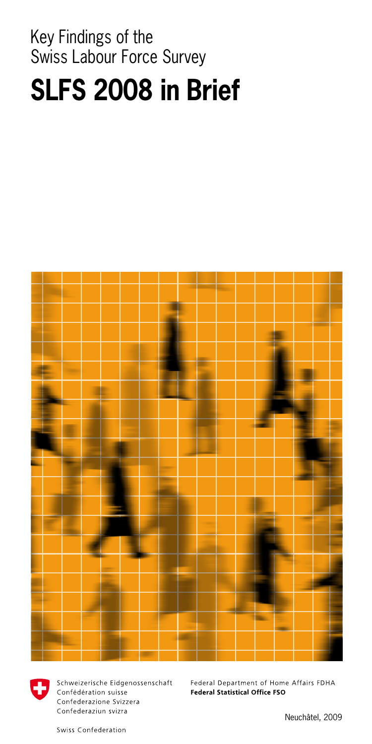# Key Findings of the Swiss Labour Force Survey **SLFS 2008 in Brief**





Schweizerische Eidgenossenschaft Confédération suisse Confederazione Svizzera Confederaziun svizra

Federal Department of Home Affairs FDHA **Federal Statistical Office FSO** 

Swiss Confederation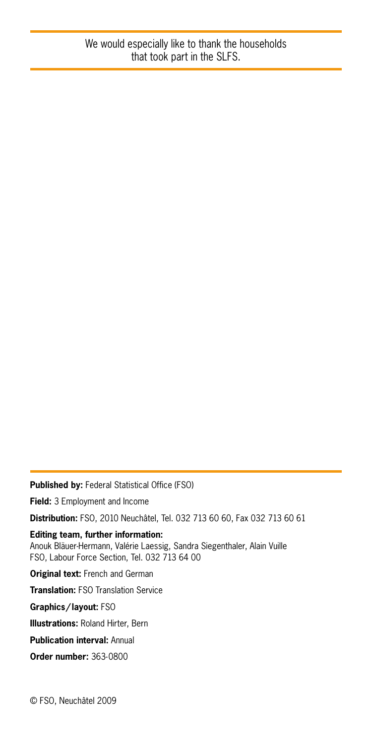**Published by:** Federal Statistical Office (FSO) **Field:** 3 Employment and Income **Distribution:** FSO, 2010 Neuchâtel, Tel. 032 713 60 60, Fax 032 713 60 61 **Editing team, further information:** Anouk Bläuer-Hermann, Valérie Laessig, Sandra Siegenthaler, Alain Vuille FSO, Labour Force Section, Tel. 032 713 64 00 **Original text:** French and German **Translation:** FSO Translation Service **Graphics/layout:** FSO **Illustrations:** Roland Hirter, Bern **Publication interval:** Annual **Order number:** 363-0800 © FSO, Neuchâtel 2009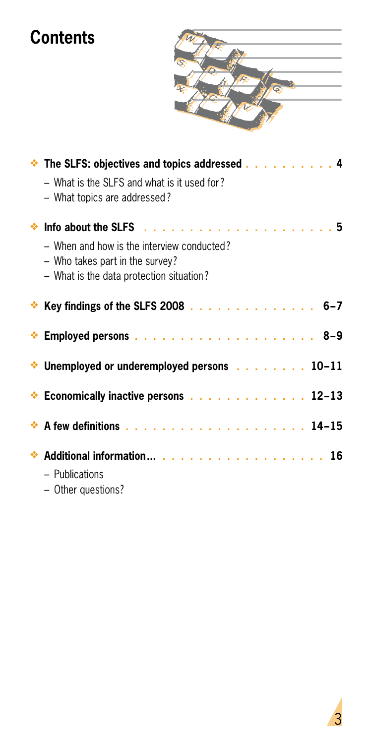# **Contents**



| <b>Example 3.5 The SLFS: objectives and topics addressed 4</b><br>– What is the SLFS and what is it used for?<br>- What topics are addressed? |
|-----------------------------------------------------------------------------------------------------------------------------------------------|
| - When and how is the interview conducted?<br>- Who takes part in the survey?<br>- What is the data protection situation?                     |
| ◆ Key findings of the SLFS 2008 6-7                                                                                                           |
|                                                                                                                                               |
| $\cdot$ Unemployed or underemployed persons $\cdot$ 10-11                                                                                     |
| Economically inactive persons $\ldots$ ,  12-13                                                                                               |
|                                                                                                                                               |
| ◆ Additional information 16<br>- Publications<br>- Other questions?                                                                           |

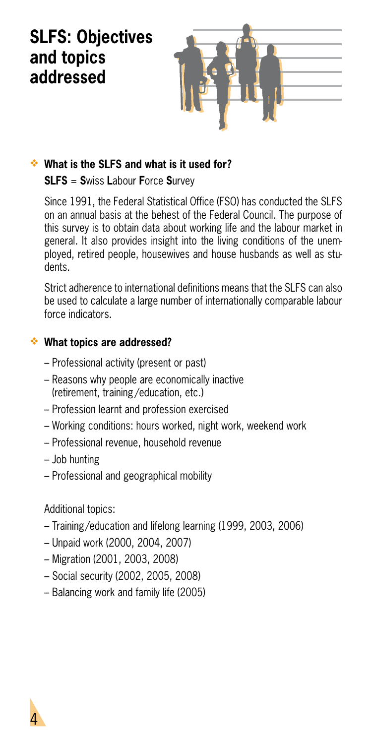# **SLFS: Objectives and topics addressed**



### **What is the SLFS and what is it used for?**

### **SLFS** = **S**wiss **L**abour **F**orce **S**urvey

Since 1991, the Federal Statistical Office (FSO) has conducted the SLFS on an annual basis at the behest of the Federal Council. The purpose of this survey is to obtain data about working life and the labour market in general. It also provides insight into the living conditions of the unemployed, retired people, housewives and house husbands as well as students.

Strict adherence to international definitions means that the SLES can also be used to calculate a large number of internationally comparable labour force indicators.

### **What topics are addressed?**

- Professional activity (present or past)
- Reasons why people are economically inactive (retirement, training /education, etc.)
- Profession learnt and profession exercised
- Working conditions: hours worked, night work, weekend work
- Professional revenue, household revenue
- Job hunting
- Professional and geographical mobility

Additional topics:

4

- Training/education and lifelong learning (1999, 2003, 2006)
- Unpaid work (2000, 2004, 2007)
- Migration (2001, 2003, 2008)
- Social security (2002, 2005, 2008)
- Balancing work and family life (2005)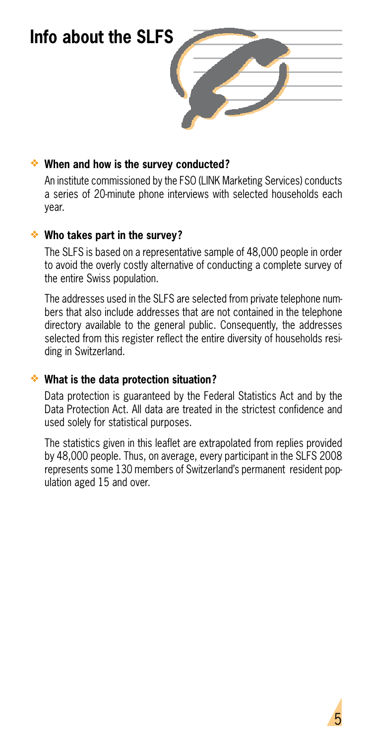### **Info about the SLFS**



### **When and how is the survey conducted?**

An institute commissioned by the FSO (LINK Marketing Services) conducts a series of 20-minute phone interviews with selected households each year.

### **Who takes part in the survey?**

The SLFS is based on a representative sample of 48,000 people in order to avoid the overly costly alternative of conducting a complete survey of the entire Swiss population.

The addresses used in the SLFS are selected from private telephone numbers that also include addresses that are not contained in the telephone directory available to the general public. Consequently, the addresses selected from this register reflect the entire diversity of households residing in Switzerland.

### **What is the data protection situation?**

Data protection is guaranteed by the Federal Statistics Act and by the Data Protection Act. All data are treated in the strictest confidence and used solely for statistical purposes.

The statistics given in this leaflet are extrapolated from replies provided by 48,000 people. Thus, on average, every participant in the SLFS 2008 represents some 130 members of Switzerland's permanent resident population aged 15 and over.

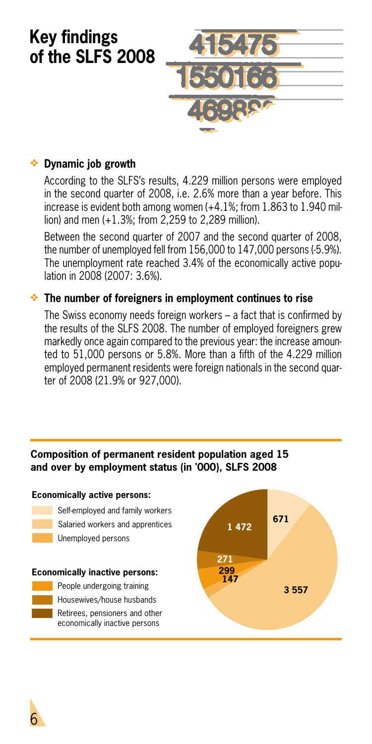

### **Dynamic job growth**

According to the SLFS's results, 4.229 million persons were employed in the second quarter of 2008, i.e. 2.6% more than a year before. This increase is evident both among women (+4.1%; from 1.863 to 1.940 million) and men (+1.3%; from 2,259 to 2,289 million).

Between the second quarter of 2007 and the second quarter of 2008, the number of unemployed fell from 156,000 to 147,000 persons (-5.9%). The unemployment rate reached 3.4% of the economically active population in 2008 (2007: 3.6%).

#### **The number of foreigners in employment continues to rise**

The Swiss economy needs foreign workers – a fact that is confirmed by the results of the SLFS 2008. The number of employed foreigners grew markedly once again compared to the previous year: the increase amounted to 51,000 persons or 5.8%. More than a fifth of the 4.229 million employed permanent residents were foreign nationals in the second quarter of 2008 (21.9% or 927,000).

#### **Composition of permanent resident population aged 15 and over by employment status (in '000), SLFS 2008**



6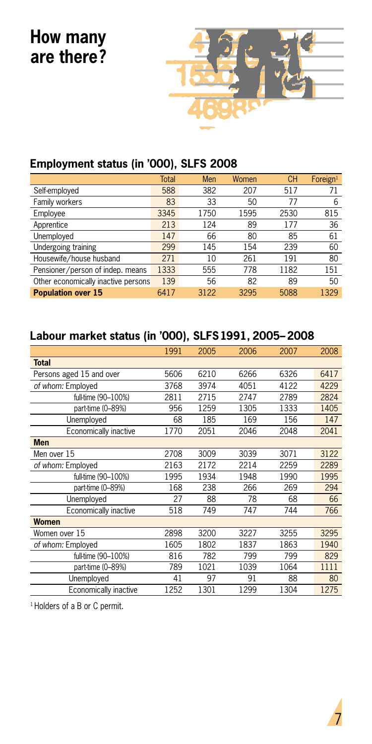

### **Employment status (in '000), SLFS 2008**

|                                     | <b>Total</b> | Men  | Women | <b>CH</b> | Foreign <sup>1</sup> |
|-------------------------------------|--------------|------|-------|-----------|----------------------|
| Self-employed                       | 588          | 382  | 207   | 517       | 71                   |
| Family workers                      | 83           | 33   | 50    | 77        | 6                    |
| Employee                            | 3345         | 1750 | 1595  | 2530      | 815                  |
| Apprentice                          | 213          | 124  | 89    | 177       | 36                   |
| Unemployed                          | 147          | 66   | 80    | 85        | 61                   |
| Undergoing training                 | 299          | 145  | 154   | 239       | 60                   |
| Housewife/house husband             | 271          | 10   | 261   | 191       | 80                   |
| Pensioner/person of indep. means    | 1333         | 555  | 778   | 1182      | 151                  |
| Other economically inactive persons | 139          | 56   | 82    | 89        | 50                   |
| <b>Population over 15</b>           | 6417         | 3122 | 3295  | 5088      | 1329                 |

### **Labour market status (in '000), SLFS 1991, 2005–2008**

|                          | 1991 | 2005 | 2006 | 2007 | 2008 |
|--------------------------|------|------|------|------|------|
| <b>Total</b>             |      |      |      |      |      |
| Persons aged 15 and over | 5606 | 6210 | 6266 | 6326 | 6417 |
| of whom: Employed        | 3768 | 3974 | 4051 | 4122 | 4229 |
| full-time (90-100%)      | 2811 | 2715 | 2747 | 2789 | 2824 |
| part-time (0-89%)        | 956  | 1259 | 1305 | 1333 | 1405 |
| Unemployed               | 68   | 185  | 169  | 156  | 147  |
| Economically inactive    | 1770 | 2051 | 2046 | 2048 | 2041 |
| <b>Men</b>               |      |      |      |      |      |
| Men over 15              | 2708 | 3009 | 3039 | 3071 | 3122 |
| of whom: Employed        | 2163 | 2172 | 2214 | 2259 | 2289 |
| full-time (90-100%)      | 1995 | 1934 | 1948 | 1990 | 1995 |
| part-time (0-89%)        | 168  | 238  | 266  | 269  | 294  |
| Unemployed               | 27   | 88   | 78   | 68   | 66   |
| Economically inactive    | 518  | 749  | 747  | 744  | 766  |
| <b>Women</b>             |      |      |      |      |      |
| Women over 15            | 2898 | 3200 | 3227 | 3255 | 3295 |
| of whom: Employed        | 1605 | 1802 | 1837 | 1863 | 1940 |
| full-time (90-100%)      | 816  | 782  | 799  | 799  | 829  |
| part-time (0-89%)        | 789  | 1021 | 1039 | 1064 | 1111 |
| Unemployed               | 41   | 97   | 91   | 88   | 80   |
| Economically inactive    | 1252 | 1301 | 1299 | 1304 | 1275 |

<sup>1</sup> Holders of a B or C permit.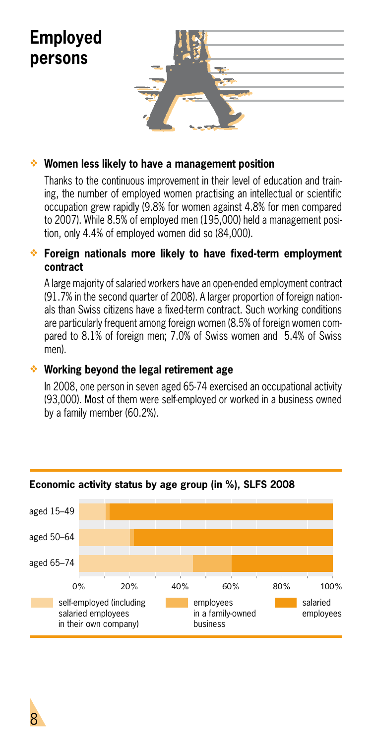

### **Women less likely to have a management position**

Thanks to the continuous improvement in their level of education and training, the number of employed women practising an intellectual or scientific occupation grew rapidly (9.8% for women against 4.8% for men compared to 2007). While 8.5% of employed men (195,000) held a management position, only 4.4% of employed women did so (84,000).

#### **Foreign nationals more likely to have fixed-term employment contract**

A large majority of salaried workers have an open-ended employment contract (91.7% in the second quarter of 2008). A larger proportion of foreign nationals than Swiss citizens have a fixed-term contract. Such working conditions are particularly frequent among foreign women (8.5% of foreign women compared to 8.1% of foreign men; 7.0% of Swiss women and 5.4% of Swiss men).

#### **Working beyond the legal retirement age**

In 2008, one person in seven aged 65-74 exercised an occupational activity (93,000). Most of them were self-employed or worked in a business owned by a family member (60.2%).



#### **Economic activity status by age group (in %), SLFS 2008**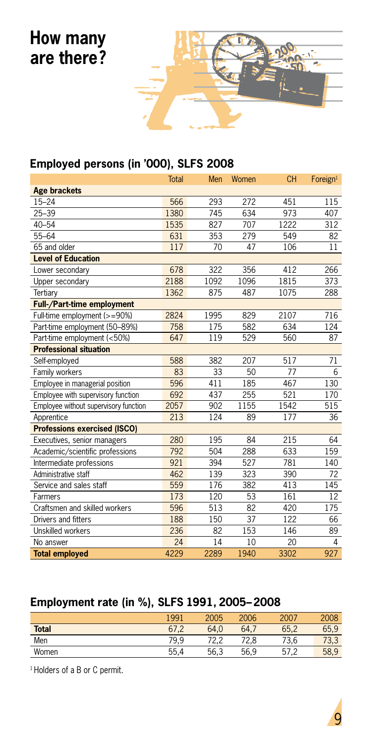

### **Employed persons (in '000), SLFS 2008**

|                                       | Total | Men  | Women | <b>CH</b> | Foreign <sup>1</sup> |
|---------------------------------------|-------|------|-------|-----------|----------------------|
| <b>Age brackets</b>                   |       |      |       |           |                      |
| $15 - 24$                             | 566   | 293  | 272   | 451       | 115                  |
| $25 - 39$                             | 1380  | 745  | 634   | 973       | 407                  |
| $40 - 54$                             | 1535  | 827  | 707   | 1222      | 312                  |
| $55 - 64$                             | 631   | 353  | 279   | 549       | 82                   |
| 65 and older                          | 117   | 70   | 47    | 106       | 11                   |
| <b>Level of Education</b>             |       |      |       |           |                      |
| Lower secondary                       | 678   | 322  | 356   | 412       | 266                  |
| Upper secondary                       | 2188  | 1092 | 1096  | 1815      | 373                  |
| Tertiary                              | 1362  | 875  | 487   | 1075      | 288                  |
| Full-/Part-time employment            |       |      |       |           |                      |
| Full-time employment (>=90%)          | 2824  | 1995 | 829   | 2107      | 716                  |
| Part-time employment (50-89%)         | 758   | 175  | 582   | 634       | 124                  |
| Part-time employment (<50%)           | 647   | 119  | 529   | 560       | 87                   |
| <b>Professional situation</b>         |       |      |       |           |                      |
| Self-employed                         | 588   | 382  | 207   | 517       | 71                   |
| Family workers                        | 83    | 33   | 50    | 77        | 6                    |
| Employee in managerial position       | 596   | 411  | 185   | 467       | 130                  |
| Employee with supervisory function    | 692   | 437  | 255   | 521       | 170                  |
| Employee without supervisory function | 2057  | 902  | 1155  | 1542      | 515                  |
| Apprentice                            | 213   | 124  | 89    | 177       | 36                   |
| <b>Professions exercised (ISCO)</b>   |       |      |       |           |                      |
| Executives, senior managers           | 280   | 195  | 84    | 215       | 64                   |
| Academic/scientific professions       | 792   | 504  | 288   | 633       | 159                  |
| Intermediate professions              | 921   | 394  | 527   | 781       | 140                  |
| Administrative staff                  | 462   | 139  | 323   | 390       | 72                   |
| Service and sales staff               | 559   | 176  | 382   | 413       | 145                  |
| Farmers                               | 173   | 120  | 53    | 161       | 12                   |
| Craftsmen and skilled workers         | 596   | 513  | 82    | 420       | 175                  |
| Drivers and fitters                   | 188   | 150  | 37    | 122       | 66                   |
| Unskilled workers                     | 236   | 82   | 153   | 146       | 89                   |
| No answer                             | 24    | 14   | 10    | 20        | 4                    |
| <b>Total employed</b>                 | 4229  | 2289 | 1940  | 3302      | 927                  |

### **Employment rate (in %), SLFS 1991, 2005–2008**

|              | 1991 | 2005 | 2006 | 2007 | 2008 |
|--------------|------|------|------|------|------|
| <b>Total</b> | 67.2 | 64.0 | 64.7 | 65.2 | 65,9 |
| Men          | 79.9 | 70.0 | 72.8 | 73.6 | 73,3 |
| Women        | 55.4 | 56.3 | 56,9 | 57   | 58,9 |

<sup>1</sup> Holders of a B or C permit.

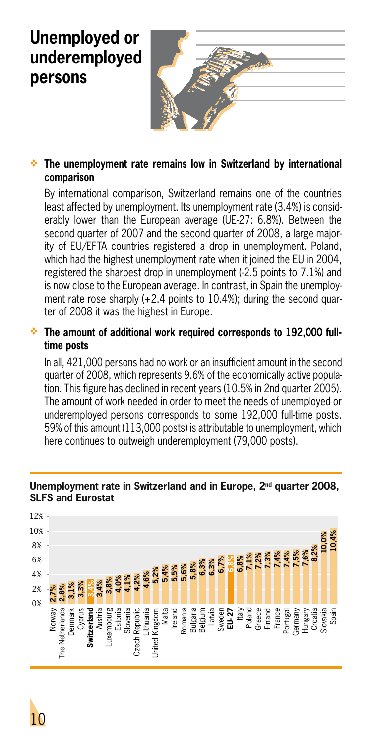### **Unemployed or underemployed persons**



### **The unemployment rate remains low in Switzerland by international comparison**

By international comparison, Switzerland remains one of the countries least affected by unemployment. Its unemployment rate (3.4%) is considerably lower than the European average (UE-27: 6.8%). Between the second quarter of 2007 and the second quarter of 2008, a large majority of EU/EFTA countries registered a drop in unemployment. Poland, which had the highest unemployment rate when it joined the EU in 2004. registered the sharpest drop in unemployment (-2.5 points to 7.1%) and is now close to the European average. In contrast, in Spain the unemployment rate rose sharply (+2.4 points to 10.4%); during the second quarter of 2008 it was the highest in Europe.

### **The amount of additional work required corresponds to 192,000 fulltime posts**

In all, 421,000 persons had no work or an insufficient amount in the second quarter of 2008, which represents 9.6% of the economically active population. This figure has declined in recent years (10.5% in 2nd quarter 2005). The amount of work needed in order to meet the needs of unemployed or underemployed persons corresponds to some 192,000 full-time posts. 59% of this amount (113,000 posts) is attributable to unemployment, which here continues to outweigh underemployment (79,000 posts).



#### **Unemployment rate in Switzerland and in Europe, 2nd quarter 2008, SLFS and Eurostat**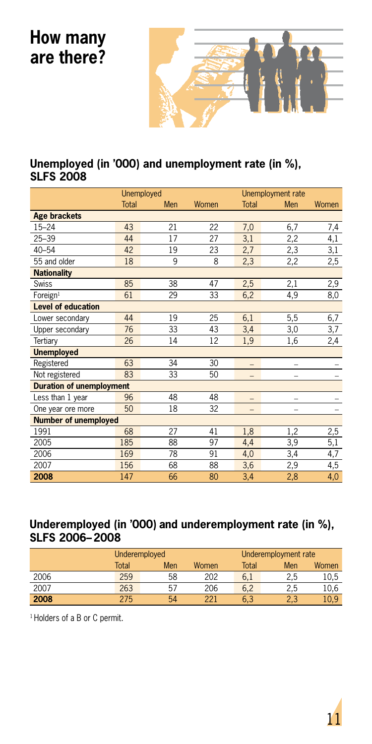

### **Unemployed (in '000) and unemployment rate (in %), SLFS 2008**

|                                 |              | <b>Unemployed</b> |       |       | Unemployment rate |       |
|---------------------------------|--------------|-------------------|-------|-------|-------------------|-------|
|                                 | <b>Total</b> | Men               | Women | Total | Men               | Women |
| <b>Age brackets</b>             |              |                   |       |       |                   |       |
| $15 - 24$                       | 43           | 21                | 22    | 7,0   | 6,7               | 7,4   |
| $25 - 39$                       | 44           | 17                | 27    | 3,1   | 2,2               | 4,1   |
| $40 - 54$                       | 42           | 19                | 23    | 2,7   | 2,3               | 3,1   |
| 55 and older                    | 18           | 9                 | 8     | 2,3   | 2,2               | 2,5   |
| <b>Nationality</b>              |              |                   |       |       |                   |       |
| Swiss                           | 85           | 38                | 47    | 2,5   | 2,1               | 2,9   |
| Foreign <sup>1</sup>            | 61           | 29                | 33    | 6,2   | 4,9               | 8,0   |
| <b>Level of education</b>       |              |                   |       |       |                   |       |
| Lower secondary                 | 44           | 19                | 25    | 6,1   | 5,5               | 6,7   |
| Upper secondary                 | 76           | 33                | 43    | 3,4   | 3,0               | 3,7   |
| Tertiary                        | 26           | 14                | 12    | 1,9   | 1,6               | 2,4   |
| <b>Unemployed</b>               |              |                   |       |       |                   |       |
| Registered                      | 63           | 34                | 30    | -     | -                 |       |
| Not registered                  | 83           | 33                | 50    | -     |                   |       |
| <b>Duration of unemployment</b> |              |                   |       |       |                   |       |
| Less than 1 year                | 96           | 48                | 48    |       |                   |       |
| One year ore more               | 50           | 18                | 32    |       |                   |       |
| <b>Number of unemployed</b>     |              |                   |       |       |                   |       |
| 1991                            | 68           | 27                | 41    | 1,8   | 1,2               | 2,5   |
| 2005                            | 185          | 88                | 97    | 4,4   | 3,9               | 5,1   |
| 2006                            | 169          | 78                | 91    | 4,0   | 3,4               | 4,7   |
| 2007                            | 156          | 68                | 88    | 3,6   | 2,9               | 4,5   |
| 2008                            | 147          | 66                | 80    | 3,4   | 2,8               | 4,0   |

### **Underemployed (in '000) and underemployment rate (in %), SLFS 2006–2008**

|      | Underemployed |     |       | Underemployment rate |     |       |  |
|------|---------------|-----|-------|----------------------|-----|-------|--|
|      | Total         | Men | Women | Total                | Men | Women |  |
| 2006 | 259           | 58  | 202   | 6,1                  | 2.5 | 10,5  |  |
| 2007 | 263           | 57  | 206   | 6.2                  | 2.5 | 10,6  |  |
| 2008 | 275           | 54  | 221   | 6,3                  | 2,3 | 10.9  |  |

<sup>1</sup> Holders of a B or C permit.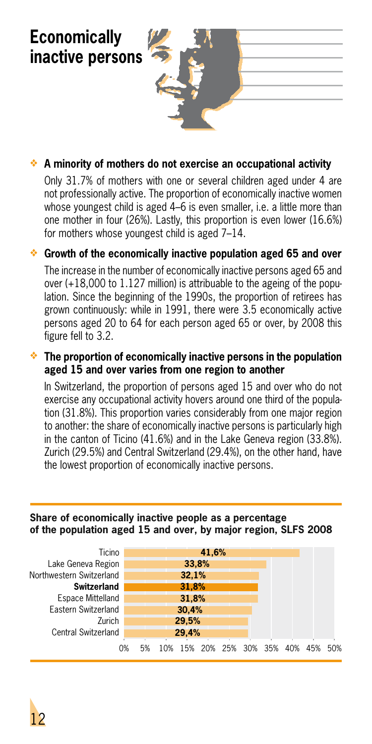**Economically inactive persons**

### **A minority of mothers do not exercise an occupational activity**

Only 31.7% of mothers with one or several children aged under 4 are not professionally active. The proportion of economically inactive women whose youngest child is aged 4–6 is even smaller, i.e. a little more than one mother in four (26%). Lastly, this proportion is even lower (16.6%) for mothers whose youngest child is aged 7–14.

### **Growth of the economically inactive population aged 65 and over**

The increase in the number of economically inactive persons aged 65 and over (+18,000 to 1.127 million) is attribuable to the ageing of the population. Since the beginning of the 1990s, the proportion of retirees has grown continuously: while in 1991, there were 3.5 economically active persons aged 20 to 64 for each person aged 65 or over, by 2008 this figure fell to 3.2.

### **The proportion of economically inactive persons in the population aged 15 and over varies from one region to another**

In Switzerland, the proportion of persons aged 15 and over who do not exercise any occupational activity hovers around one third of the population (31.8%). This proportion varies considerably from one major region to another: the share of economically inactive persons is particularly high in the canton of Ticino (41.6%) and in the Lake Geneva region (33.8%). Zurich (29.5%) and Central Switzerland (29.4%), on the other hand, have the lowest proportion of economically inactive persons.

### **Share of economically inactive people as a percentage of the population aged 15 and over, by major region, SLFS 2008**

| Ticino                     |    |       |     |       | 41,6%               |  |  |  |     |     |      |
|----------------------------|----|-------|-----|-------|---------------------|--|--|--|-----|-----|------|
| Lake Geneva Region         |    |       |     | 33,8% |                     |  |  |  |     |     |      |
| Northwestern Switzerland   |    | 32,1% |     |       |                     |  |  |  |     |     |      |
| <b>Switzerland</b>         |    |       |     | 31.8% |                     |  |  |  |     |     |      |
| <b>Espace Mittelland</b>   |    |       |     | 31.8% |                     |  |  |  |     |     |      |
| Eastern Switzerland        |    |       |     | 30.4% |                     |  |  |  |     |     |      |
| Zurich                     |    | 29.5% |     |       |                     |  |  |  |     |     |      |
| <b>Central Switzerland</b> |    |       |     | 29.4% |                     |  |  |  |     |     |      |
|                            | 0% | 5%    | 10% |       | 15% 20% 25% 30% 35% |  |  |  | 40% | 45% | .50% |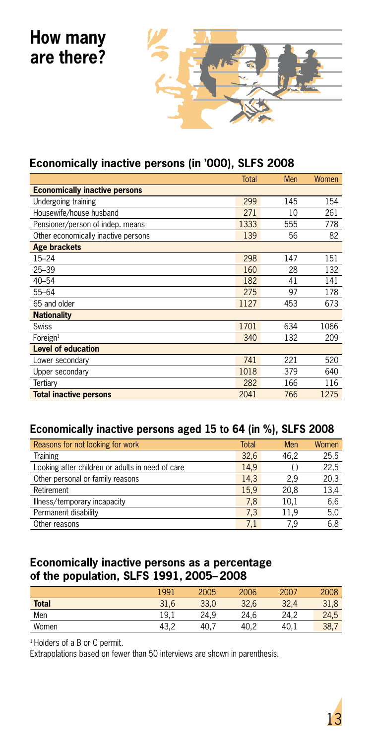

### **Economically inactive persons (in '000), SLFS 2008**

|                                      | <b>Total</b> | Men | Women |
|--------------------------------------|--------------|-----|-------|
| <b>Economically inactive persons</b> |              |     |       |
| Undergoing training                  | 299          | 145 | 154   |
| Housewife/house husband              | 271          | 10  | 261   |
| Pensioner/person of indep. means     | 1333         | 555 | 778   |
| Other economically inactive persons  | 139          | 56  | 82    |
| <b>Age brackets</b>                  |              |     |       |
| $15 - 24$                            | 298          | 147 | 151   |
| $25 - 39$                            | 160          | 28  | 132   |
| $40 - 54$                            | 182          | 41  | 141   |
| 55-64                                | 275          | 97  | 178   |
| 65 and older                         | 1127         | 453 | 673   |
| <b>Nationality</b>                   |              |     |       |
| Swiss                                | 1701         | 634 | 1066  |
| $F$ oreign <sup>1</sup>              | 340          | 132 | 209   |
| <b>Level of education</b>            |              |     |       |
| Lower secondary                      | 741          | 221 | 520   |
| Upper secondary                      | 1018         | 379 | 640   |
| Tertiary                             | 282          | 166 | 116   |
| <b>Total inactive persons</b>        | 2041         | 766 | 1275  |

### **Economically inactive persons aged 15 to 64 (in %), SLFS 2008**

| Reasons for not looking for work                 | <b>Total</b> | Men  | Women |
|--------------------------------------------------|--------------|------|-------|
| Training                                         | 32.6         | 46.2 | 25,5  |
| Looking after children or adults in need of care | 14.9         |      | 22,5  |
| Other personal or family reasons                 | 14.3         | 2.9  | 20,3  |
| Retirement                                       | 15.9         | 20.8 | 13,4  |
| Illness/temporary incapacity                     | 7.8          | 10.1 | 6,6   |
| Permanent disability                             | 7.3          | 11.9 | 5,0   |
| Other reasons                                    | 7,1          | 7.9  | 6.8   |

### **Economically inactive persons as a percentage of the population, SLFS 1991, 2005–2008**

|              | 1991 | 2005 | 2006 | 2007 | 2008 |
|--------------|------|------|------|------|------|
| <b>Total</b> | 31,6 | 33,0 | 32,6 | 32,4 | 31,8 |
| Men          | 19.1 | 24.9 | 24.6 | 24.2 | 24,5 |
| Women        | 43.2 | 40.  | 40.2 | 40.1 | 38.7 |

<sup>1</sup> Holders of a B or C permit.

Extrapolations based on fewer than 50 interviews are shown in parenthesis.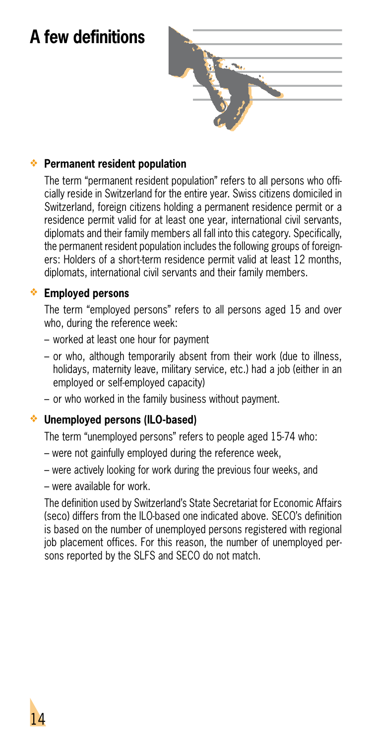# **A few definitions**



### **Permanent resident population**

The term "permanent resident population" refers to all persons who officially reside in Switzerland for the entire year. Swiss citizens domiciled in Switzerland, foreign citizens holding a permanent residence permit or a residence permit valid for at least one year, international civil servants, diplomats and their family members all fall into this category. Specifically, the permanent resident population includes the following groups of foreigners: Holders of a short-term residence permit valid at least 12 months, diplomats, international civil servants and their family members.

### **Employed persons**

The term "employed persons" refers to all persons aged 15 and over who, during the reference week:

- worked at least one hour for payment
- or who, although temporarily absent from their work (due to illness, holidays, maternity leave, military service, etc.) had a job (either in an employed or self-employed capacity)
- or who worked in the family business without payment.

#### **Unemployed persons (ILO-based)**

The term "unemployed persons" refers to people aged 15-74 who:

- were not gainfully employed during the reference week,
- were actively looking for work during the previous four weeks, and
- were available for work.

The definition used by Switzerland's State Secretariat for Economic Affairs (seco) differs from the ILO-based one indicated above. SECO's definition is based on the number of unemployed persons registered with regional job placement offices. For this reason, the number of unemployed persons reported by the SLFS and SECO do not match.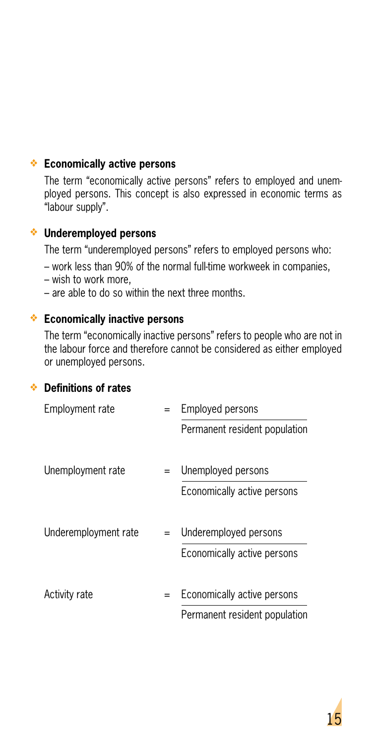### **Economically active persons**

The term "economically active persons" refers to employed and unemployed persons. This concept is also expressed in economic terms as "labour supply".

### **Underemployed persons**

The term "underemployed persons" refers to employed persons who:

- work less than 90% of the normal full-time workweek in companies,
- wish to work more,
- are able to do so within the next three months.

### **Economically inactive persons**

The term "economically inactive persons" refers to people who are not in the labour force and therefore cannot be considered as either employed or unemployed persons.

#### **Definitions of rates**

| Employment rate      | $=$ | Employed persons              |
|----------------------|-----|-------------------------------|
|                      |     | Permanent resident population |
|                      |     |                               |
| Unemployment rate    |     | Unemployed persons            |
|                      |     | Economically active persons   |
|                      |     |                               |
| Underemployment rate |     | Underemployed persons         |
|                      |     | Economically active persons   |
|                      |     |                               |
| Activity rate        | $=$ | Economically active persons   |
|                      |     | Permanent resident population |